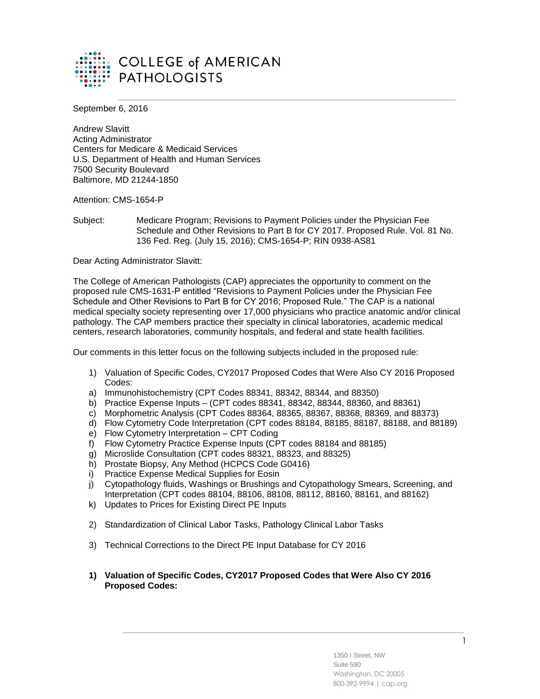

September 6, 2016

Andrew Slavitt Acting Administrator Centers for Medicare & Medicaid Services U.S. Department of Health and Human Services 7500 Security Boulevard Baltimore, MD 21244-1850

Attention: CMS-1654-P

Subject: Medicare Program; Revisions to Payment Policies under the Physician Fee Schedule and Other Revisions to Part B for CY 2017. Proposed Rule. Vol. 81 No. 136 Fed. Reg. (July 15, 2016); CMS-1654-P; RIN 0938-AS81

Dear Acting Administrator Slavitt:

The College of American Pathologists (CAP) appreciates the opportunity to comment on the proposed rule CMS-1631-P entitled "Revisions to Payment Policies under the Physician Fee Schedule and Other Revisions to Part B for CY 2016; Proposed Rule." The CAP is a national medical specialty society representing over 17,000 physicians who practice anatomic and/or clinical pathology. The CAP members practice their specialty in clinical laboratories, academic medical centers, research laboratories, community hospitals, and federal and state health facilities.

Our comments in this letter focus on the following subjects included in the proposed rule:

- 1) Valuation of Specific Codes, CY2017 Proposed Codes that Were Also CY 2016 Proposed Codes:
- a) Immunohistochemistry (CPT Codes 88341, 88342, 88344, and 88350)
- b) Practice Expense Inputs (CPT codes 88341, 88342, 88344, 88360, and 88361)
- c) Morphometric Analysis (CPT Codes 88364, 88365, 88367, 88368, 88369, and 88373)
- d) Flow Cytometry Code Interpretation (CPT codes 88184, 88185, 88187, 88188, and 88189)
- e) Flow Cytometry Interpretation CPT Coding
- f) Flow Cytometry Practice Expense Inputs (CPT codes 88184 and 88185)
- g) Microslide Consultation (CPT codes 88321, 88323, and 88325)
- h) Prostate Biopsy, Any Method (HCPCS Code G0416)
- i) Practice Expense Medical Supplies for Eosin
- j) Cytopathology fluids, Washings or Brushings and Cytopathology Smears, Screening, and Interpretation (CPT codes 88104, 88106, 88108, 88112, 88160, 88161, and 88162)
- k) Updates to Prices for Existing Direct PE Inputs
- 2) Standardization of Clinical Labor Tasks, Pathology Clinical Labor Tasks
- 3) Technical Corrections to the Direct PE Input Database for CY 2016
- **1) Valuation of Specific Codes, CY2017 Proposed Codes that Were Also CY 2016 Proposed Codes:**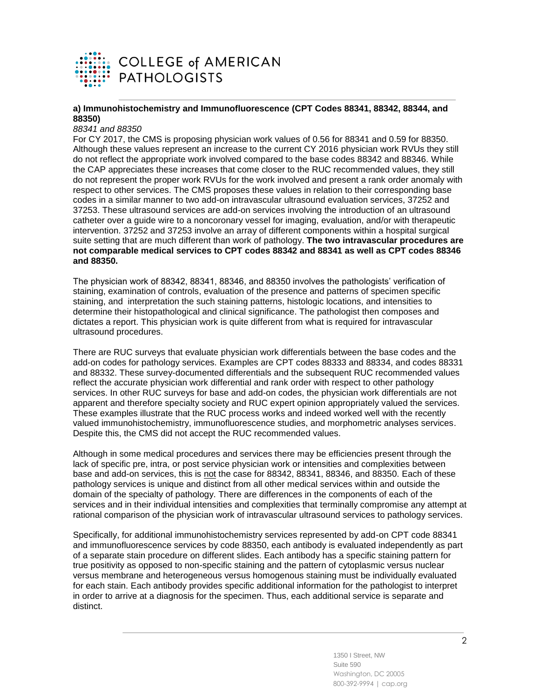

## **a) Immunohistochemistry and Immunofluorescence (CPT Codes 88341, 88342, 88344, and 88350)**

#### *88341 and 88350*

For CY 2017, the CMS is proposing physician work values of 0.56 for 88341 and 0.59 for 88350. Although these values represent an increase to the current CY 2016 physician work RVUs they still do not reflect the appropriate work involved compared to the base codes 88342 and 88346. While the CAP appreciates these increases that come closer to the RUC recommended values, they still do not represent the proper work RVUs for the work involved and present a rank order anomaly with respect to other services. The CMS proposes these values in relation to their corresponding base codes in a similar manner to two add-on intravascular ultrasound evaluation services, 37252 and 37253. These ultrasound services are add-on services involving the introduction of an ultrasound catheter over a guide wire to a noncoronary vessel for imaging, evaluation, and/or with therapeutic intervention. 37252 and 37253 involve an array of different components within a hospital surgical suite setting that are much different than work of pathology. **The two intravascular procedures are not comparable medical services to CPT codes 88342 and 88341 as well as CPT codes 88346 and 88350.**

The physician work of 88342, 88341, 88346, and 88350 involves the pathologists' verification of staining, examination of controls, evaluation of the presence and patterns of specimen specific staining, and interpretation the such staining patterns, histologic locations, and intensities to determine their histopathological and clinical significance. The pathologist then composes and dictates a report. This physician work is quite different from what is required for intravascular ultrasound procedures.

There are RUC surveys that evaluate physician work differentials between the base codes and the add-on codes for pathology services. Examples are CPT codes 88333 and 88334, and codes 88331 and 88332. These survey-documented differentials and the subsequent RUC recommended values reflect the accurate physician work differential and rank order with respect to other pathology services. In other RUC surveys for base and add-on codes, the physician work differentials are not apparent and therefore specialty society and RUC expert opinion appropriately valued the services. These examples illustrate that the RUC process works and indeed worked well with the recently valued immunohistochemistry, immunofluorescence studies, and morphometric analyses services. Despite this, the CMS did not accept the RUC recommended values.

Although in some medical procedures and services there may be efficiencies present through the lack of specific pre, intra, or post service physician work or intensities and complexities between base and add-on services, this is not the case for 88342, 88341, 88346, and 88350. Each of these pathology services is unique and distinct from all other medical services within and outside the domain of the specialty of pathology. There are differences in the components of each of the services and in their individual intensities and complexities that terminally compromise any attempt at rational comparison of the physician work of intravascular ultrasound services to pathology services.

Specifically, for additional immunohistochemistry services represented by add-on CPT code 88341 and immunofluorescence services by code 88350, each antibody is evaluated independently as part of a separate stain procedure on different slides. Each antibody has a specific staining pattern for true positivity as opposed to non-specific staining and the pattern of cytoplasmic versus nuclear versus membrane and heterogeneous versus homogenous staining must be individually evaluated for each stain. Each antibody provides specific additional information for the pathologist to interpret in order to arrive at a diagnosis for the specimen. Thus, each additional service is separate and distinct.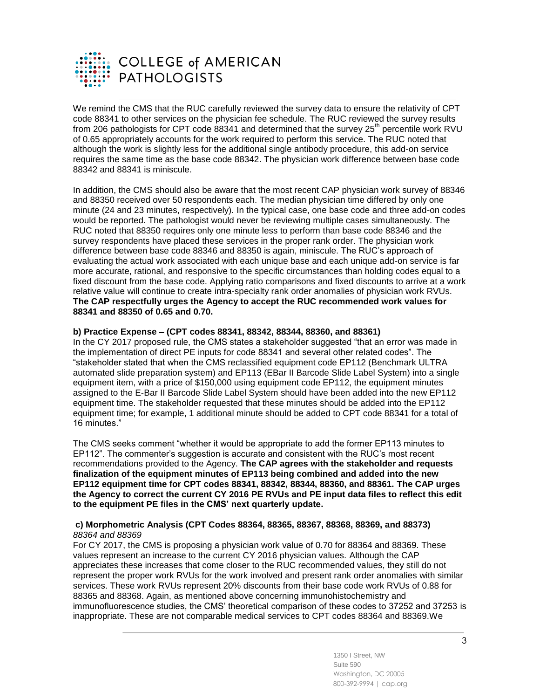

We remind the CMS that the RUC carefully reviewed the survey data to ensure the relativity of CPT code 88341 to other services on the physician fee schedule. The RUC reviewed the survey results from 206 pathologists for CPT code 88341 and determined that the survey 25<sup>th</sup> percentile work RVU of 0.65 appropriately accounts for the work required to perform this service. The RUC noted that although the work is slightly less for the additional single antibody procedure, this add-on service requires the same time as the base code 88342. The physician work difference between base code 88342 and 88341 is miniscule.

In addition, the CMS should also be aware that the most recent CAP physician work survey of 88346 and 88350 received over 50 respondents each. The median physician time differed by only one minute (24 and 23 minutes, respectively). In the typical case, one base code and three add-on codes would be reported. The pathologist would never be reviewing multiple cases simultaneously. The RUC noted that 88350 requires only one minute less to perform than base code 88346 and the survey respondents have placed these services in the proper rank order. The physician work difference between base code 88346 and 88350 is again, miniscule. The RUC's approach of evaluating the actual work associated with each unique base and each unique add-on service is far more accurate, rational, and responsive to the specific circumstances than holding codes equal to a fixed discount from the base code. Applying ratio comparisons and fixed discounts to arrive at a work relative value will continue to create intra-specialty rank order anomalies of physician work RVUs. **The CAP respectfully urges the Agency to accept the RUC recommended work values for 88341 and 88350 of 0.65 and 0.70.**

### **b) Practice Expense – (CPT codes 88341, 88342, 88344, 88360, and 88361)**

In the CY 2017 proposed rule, the CMS states a stakeholder suggested "that an error was made in the implementation of direct PE inputs for code 88341 and several other related codes". The "stakeholder stated that when the CMS reclassified equipment code EP112 (Benchmark ULTRA automated slide preparation system) and EP113 (EBar II Barcode Slide Label System) into a single equipment item, with a price of \$150,000 using equipment code EP112, the equipment minutes assigned to the E-Bar II Barcode Slide Label System should have been added into the new EP112 equipment time. The stakeholder requested that these minutes should be added into the EP112 equipment time; for example, 1 additional minute should be added to CPT code 88341 for a total of 16 minutes."

The CMS seeks comment "whether it would be appropriate to add the former EP113 minutes to EP112". The commenter's suggestion is accurate and consistent with the RUC's most recent recommendations provided to the Agency. **The CAP agrees with the stakeholder and requests finalization of the equipment minutes of EP113 being combined and added into the new EP112 equipment time for CPT codes 88341, 88342, 88344, 88360, and 88361. The CAP urges the Agency to correct the current CY 2016 PE RVUs and PE input data files to reflect this edit to the equipment PE files in the CMS' next quarterly update.**

#### **c) Morphometric Analysis (CPT Codes 88364, 88365, 88367, 88368, 88369, and 88373)** *88364 and 88369*

For CY 2017, the CMS is proposing a physician work value of 0.70 for 88364 and 88369. These values represent an increase to the current CY 2016 physician values. Although the CAP appreciates these increases that come closer to the RUC recommended values, they still do not represent the proper work RVUs for the work involved and present rank order anomalies with similar services. These work RVUs represent 20% discounts from their base code work RVUs of 0.88 for 88365 and 88368. Again, as mentioned above concerning immunohistochemistry and immunofluorescence studies, the CMS' theoretical comparison of these codes to 37252 and 37253 is inappropriate. These are not comparable medical services to CPT codes 88364 and 88369.We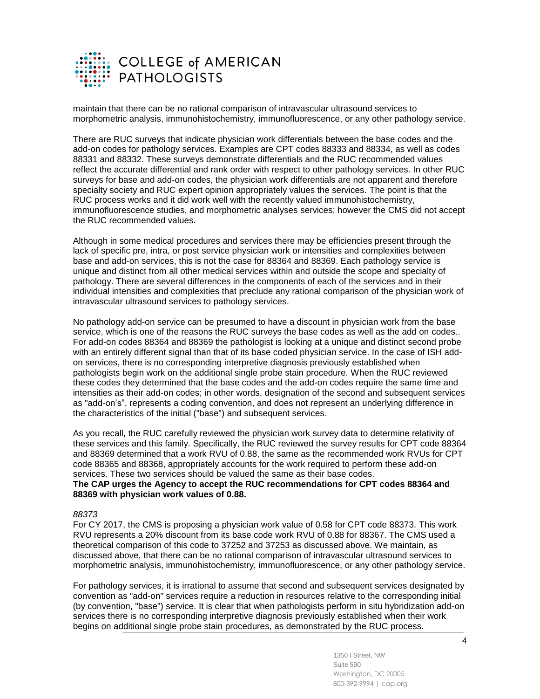

maintain that there can be no rational comparison of intravascular ultrasound services to morphometric analysis, immunohistochemistry, immunofluorescence, or any other pathology service.

There are RUC surveys that indicate physician work differentials between the base codes and the add-on codes for pathology services. Examples are CPT codes 88333 and 88334, as well as codes 88331 and 88332. These surveys demonstrate differentials and the RUC recommended values reflect the accurate differential and rank order with respect to other pathology services. In other RUC surveys for base and add-on codes, the physician work differentials are not apparent and therefore specialty society and RUC expert opinion appropriately values the services. The point is that the RUC process works and it did work well with the recently valued immunohistochemistry, immunofluorescence studies, and morphometric analyses services; however the CMS did not accept the RUC recommended values.

Although in some medical procedures and services there may be efficiencies present through the lack of specific pre, intra, or post service physician work or intensities and complexities between base and add-on services, this is not the case for 88364 and 88369. Each pathology service is unique and distinct from all other medical services within and outside the scope and specialty of pathology. There are several differences in the components of each of the services and in their individual intensities and complexities that preclude any rational comparison of the physician work of intravascular ultrasound services to pathology services.

No pathology add-on service can be presumed to have a discount in physician work from the base service, which is one of the reasons the RUC surveys the base codes as well as the add on codes.. For add-on codes 88364 and 88369 the pathologist is looking at a unique and distinct second probe with an entirely different signal than that of its base coded physician service. In the case of ISH addon services, there is no corresponding interpretive diagnosis previously established when pathologists begin work on the additional single probe stain procedure. When the RUC reviewed these codes they determined that the base codes and the add-on codes require the same time and intensities as their add-on codes; in other words, designation of the second and subsequent services as "add-on's", represents a coding convention, and does not represent an underlying difference in the characteristics of the initial ("base") and subsequent services.

As you recall, the RUC carefully reviewed the physician work survey data to determine relativity of these services and this family. Specifically, the RUC reviewed the survey results for CPT code 88364 and 88369 determined that a work RVU of 0.88, the same as the recommended work RVUs for CPT code 88365 and 88368, appropriately accounts for the work required to perform these add-on services. These two services should be valued the same as their base codes.

#### **The CAP urges the Agency to accept the RUC recommendations for CPT codes 88364 and 88369 with physician work values of 0.88.**

#### *88373*

For CY 2017, the CMS is proposing a physician work value of 0.58 for CPT code 88373. This work RVU represents a 20% discount from its base code work RVU of 0.88 for 88367. The CMS used a theoretical comparison of this code to 37252 and 37253 as discussed above. We maintain, as discussed above, that there can be no rational comparison of intravascular ultrasound services to morphometric analysis, immunohistochemistry, immunofluorescence, or any other pathology service.

For pathology services, it is irrational to assume that second and subsequent services designated by convention as "add-on" services require a reduction in resources relative to the corresponding initial (by convention, "base") service. It is clear that when pathologists perform in situ hybridization add-on services there is no corresponding interpretive diagnosis previously established when their work begins on additional single probe stain procedures, as demonstrated by the RUC process.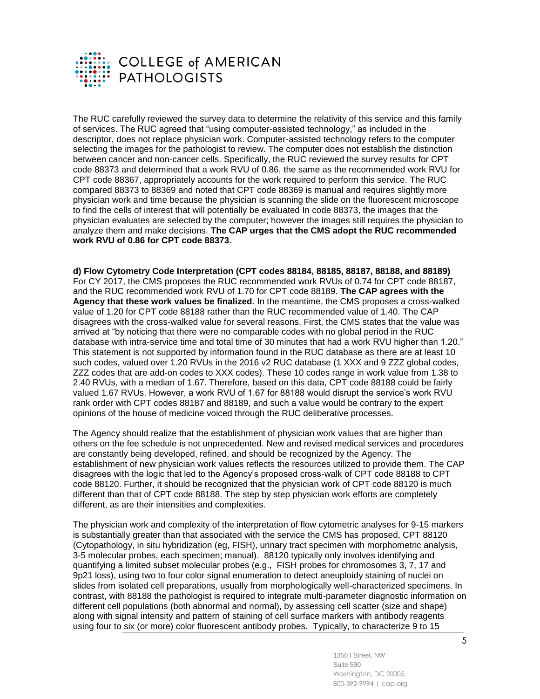

The RUC carefully reviewed the survey data to determine the relativity of this service and this family of services. The RUC agreed that "using computer-assisted technology," as included in the descriptor, does not replace physician work. Computer-assisted technology refers to the computer selecting the images for the pathologist to review. The computer does not establish the distinction between cancer and non-cancer cells. Specifically, the RUC reviewed the survey results for CPT code 88373 and determined that a work RVU of 0.86, the same as the recommended work RVU for CPT code 88367, appropriately accounts for the work required to perform this service. The RUC compared 88373 to 88369 and noted that CPT code 88369 is manual and requires slightly more physician work and time because the physician is scanning the slide on the fluorescent microscope to find the cells of interest that will potentially be evaluated In code 88373, the images that the physician evaluates are selected by the computer; however the images still requires the physician to analyze them and make decisions. **The CAP urges that the CMS adopt the RUC recommended work RVU of 0.86 for CPT code 88373**.

**d) Flow Cytometry Code Interpretation (CPT codes 88184, 88185, 88187, 88188, and 88189)** For CY 2017, the CMS proposes the RUC recommended work RVUs of 0.74 for CPT code 88187, and the RUC recommended work RVU of 1.70 for CPT code 88189. **The CAP agrees with the Agency that these work values be finalized**. In the meantime, the CMS proposes a cross-walked value of 1.20 for CPT code 88188 rather than the RUC recommended value of 1.40. The CAP disagrees with the cross-walked value for several reasons. First, the CMS states that the value was arrived at "by noticing that there were no comparable codes with no global period in the RUC database with intra-service time and total time of 30 minutes that had a work RVU higher than 1.20." This statement is not supported by information found in the RUC database as there are at least 10 such codes, valued over 1.20 RVUs in the 2016 v2 RUC database (1 XXX and 9 ZZZ global codes, ZZZ codes that are add-on codes to XXX codes). These 10 codes range in work value from 1.38 to 2.40 RVUs, with a median of 1.67. Therefore, based on this data, CPT code 88188 could be fairly valued 1.67 RVUs. However, a work RVU of 1.67 for 88188 would disrupt the service's work RVU rank order with CPT codes 88187 and 88189, and such a value would be contrary to the expert opinions of the house of medicine voiced through the RUC deliberative processes.

The Agency should realize that the establishment of physician work values that are higher than others on the fee schedule is not unprecedented. New and revised medical services and procedures are constantly being developed, refined, and should be recognized by the Agency. The establishment of new physician work values reflects the resources utilized to provide them. The CAP disagrees with the logic that led to the Agency's proposed cross-walk of CPT code 88188 to CPT code 88120. Further, it should be recognized that the physician work of CPT code 88120 is much different than that of CPT code 88188. The step by step physician work efforts are completely different, as are their intensities and complexities.

The physician work and complexity of the interpretation of flow cytometric analyses for 9-15 markers is substantially greater than that associated with the service the CMS has proposed, CPT 88120 (Cytopathology, in situ hybridization (eg, FISH), urinary tract specimen with morphometric analysis, 3-5 molecular probes, each specimen; manual). 88120 typically only involves identifying and quantifying a limited subset molecular probes (e.g., FISH probes for chromosomes 3, 7, 17 and 9p21 loss), using two to four color signal enumeration to detect aneuploidy staining of nuclei on slides from isolated cell preparations, usually from morphologically well-characterized specimens. In contrast, with 88188 the pathologist is required to integrate multi-parameter diagnostic information on different cell populations (both abnormal and normal), by assessing cell scatter (size and shape) along with signal intensity and pattern of staining of cell surface markers with antibody reagents using four to six (or more) color fluorescent antibody probes. Typically, to characterize 9 to 15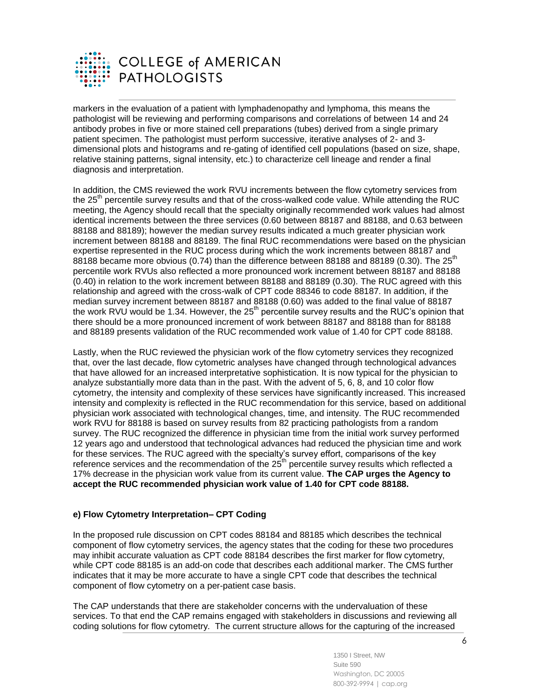

markers in the evaluation of a patient with lymphadenopathy and lymphoma, this means the pathologist will be reviewing and performing comparisons and correlations of between 14 and 24 antibody probes in five or more stained cell preparations (tubes) derived from a single primary patient specimen. The pathologist must perform successive, iterative analyses of 2- and 3 dimensional plots and histograms and re-gating of identified cell populations (based on size, shape, relative staining patterns, signal intensity, etc.) to characterize cell lineage and render a final diagnosis and interpretation.

In addition, the CMS reviewed the work RVU increments between the flow cytometry services from the 25<sup>th</sup> percentile survey results and that of the cross-walked code value. While attending the RUC meeting, the Agency should recall that the specialty originally recommended work values had almost identical increments between the three services (0.60 between 88187 and 88188, and 0.63 between 88188 and 88189); however the median survey results indicated a much greater physician work increment between 88188 and 88189. The final RUC recommendations were based on the physician expertise represented in the RUC process during which the work increments between 88187 and 88188 became more obvious (0.74) than the difference between 88188 and 88189 (0.30). The  $25<sup>th</sup>$ percentile work RVUs also reflected a more pronounced work increment between 88187 and 88188 (0.40) in relation to the work increment between 88188 and 88189 (0.30). The RUC agreed with this relationship and agreed with the cross-walk of CPT code 88346 to code 88187. In addition, if the median survey increment between 88187 and 88188 (0.60) was added to the final value of 88187 the work RVU would be 1.34. However, the  $25<sup>th</sup>$  percentile survey results and the RUC's opinion that there should be a more pronounced increment of work between 88187 and 88188 than for 88188 and 88189 presents validation of the RUC recommended work value of 1.40 for CPT code 88188.

Lastly, when the RUC reviewed the physician work of the flow cytometry services they recognized that, over the last decade, flow cytometric analyses have changed through technological advances that have allowed for an increased interpretative sophistication. It is now typical for the physician to analyze substantially more data than in the past. With the advent of 5, 6, 8, and 10 color flow cytometry, the intensity and complexity of these services have significantly increased. This increased intensity and complexity is reflected in the RUC recommendation for this service, based on additional physician work associated with technological changes, time, and intensity. The RUC recommended work RVU for 88188 is based on survey results from 82 practicing pathologists from a random survey. The RUC recognized the difference in physician time from the initial work survey performed 12 years ago and understood that technological advances had reduced the physician time and work for these services. The RUC agreed with the specialty's survey effort, comparisons of the key reference services and the recommendation of the 25<sup>th</sup> percentile survey results which reflected a 17% decrease in the physician work value from its current value. **The CAP urges the Agency to accept the RUC recommended physician work value of 1.40 for CPT code 88188.**

# **e) Flow Cytometry Interpretation– CPT Coding**

In the proposed rule discussion on CPT codes 88184 and 88185 which describes the technical component of flow cytometry services, the agency states that the coding for these two procedures may inhibit accurate valuation as CPT code 88184 describes the first marker for flow cytometry, while CPT code 88185 is an add-on code that describes each additional marker. The CMS further indicates that it may be more accurate to have a single CPT code that describes the technical component of flow cytometry on a per-patient case basis.

The CAP understands that there are stakeholder concerns with the undervaluation of these services. To that end the CAP remains engaged with stakeholders in discussions and reviewing all coding solutions for flow cytometry. The current structure allows for the capturing of the increased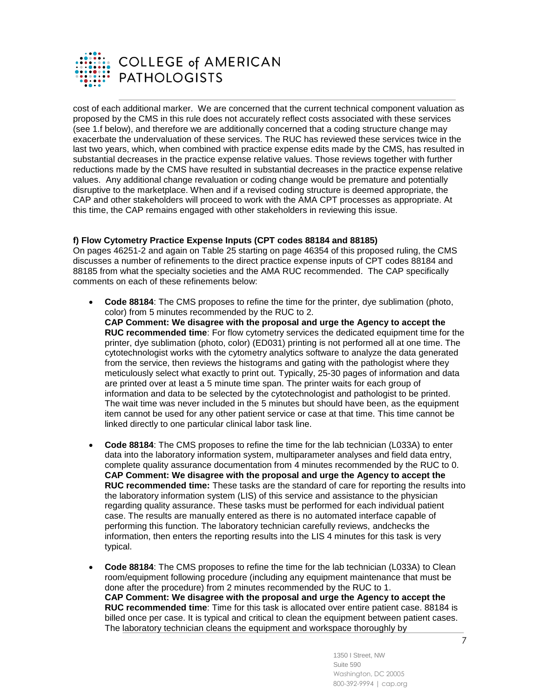

cost of each additional marker. We are concerned that the current technical component valuation as proposed by the CMS in this rule does not accurately reflect costs associated with these services (see 1.f below), and therefore we are additionally concerned that a coding structure change may exacerbate the undervaluation of these services. The RUC has reviewed these services twice in the last two years, which, when combined with practice expense edits made by the CMS, has resulted in substantial decreases in the practice expense relative values. Those reviews together with further reductions made by the CMS have resulted in substantial decreases in the practice expense relative values. Any additional change revaluation or coding change would be premature and potentially disruptive to the marketplace. When and if a revised coding structure is deemed appropriate, the CAP and other stakeholders will proceed to work with the AMA CPT processes as appropriate. At this time, the CAP remains engaged with other stakeholders in reviewing this issue.

## **f) Flow Cytometry Practice Expense Inputs (CPT codes 88184 and 88185)**

On pages 46251-2 and again on Table 25 starting on page 46354 of this proposed ruling, the CMS discusses a number of refinements to the direct practice expense inputs of CPT codes 88184 and 88185 from what the specialty societies and the AMA RUC recommended. The CAP specifically comments on each of these refinements below:

- **Code 88184**: The CMS proposes to refine the time for the printer, dye sublimation (photo, color) from 5 minutes recommended by the RUC to 2. **CAP Comment: We disagree with the proposal and urge the Agency to accept the RUC recommended time**: For flow cytometry services the dedicated equipment time for the printer, dye sublimation (photo, color) (ED031) printing is not performed all at one time. The cytotechnologist works with the cytometry analytics software to analyze the data generated from the service, then reviews the histograms and gating with the pathologist where they meticulously select what exactly to print out. Typically, 25-30 pages of information and data are printed over at least a 5 minute time span. The printer waits for each group of information and data to be selected by the cytotechnologist and pathologist to be printed. The wait time was never included in the 5 minutes but should have been, as the equipment item cannot be used for any other patient service or case at that time. This time cannot be linked directly to one particular clinical labor task line.
- **Code 88184**: The CMS proposes to refine the time for the lab technician (L033A) to enter data into the laboratory information system, multiparameter analyses and field data entry, complete quality assurance documentation from 4 minutes recommended by the RUC to 0. **CAP Comment: We disagree with the proposal and urge the Agency to accept the RUC recommended time:** These tasks are the standard of care for reporting the results into the laboratory information system (LIS) of this service and assistance to the physician regarding quality assurance. These tasks must be performed for each individual patient case. The results are manually entered as there is no automated interface capable of performing this function. The laboratory technician carefully reviews, andchecks the information, then enters the reporting results into the LIS 4 minutes for this task is very typical.
- **Code 88184**: The CMS proposes to refine the time for the lab technician (L033A) to Clean room/equipment following procedure (including any equipment maintenance that must be done after the procedure) from 2 minutes recommended by the RUC to 1. **CAP Comment: We disagree with the proposal and urge the Agency to accept the RUC recommended time**: Time for this task is allocated over entire patient case. 88184 is billed once per case. It is typical and critical to clean the equipment between patient cases. The laboratory technician cleans the equipment and workspace thoroughly by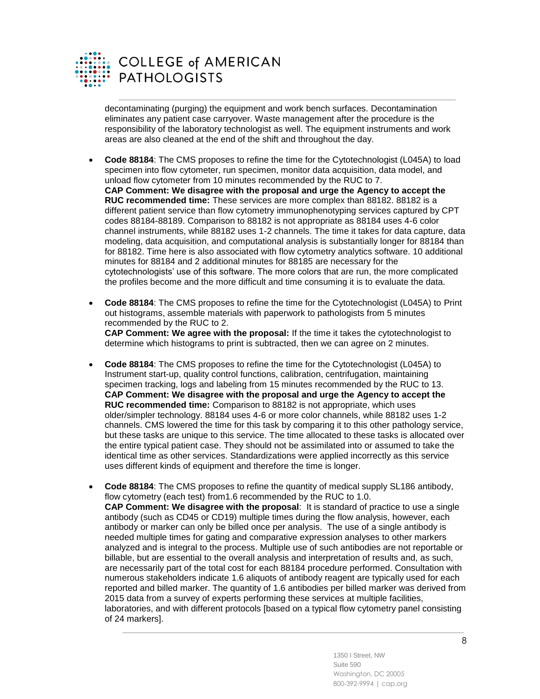

**COLLEGE of AMERICAN PATHOLOGISTS** 

decontaminating (purging) the equipment and work bench surfaces. Decontamination eliminates any patient case carryover. Waste management after the procedure is the responsibility of the laboratory technologist as well. The equipment instruments and work areas are also cleaned at the end of the shift and throughout the day.

- **Code 88184**: The CMS proposes to refine the time for the Cytotechnologist (L045A) to load specimen into flow cytometer, run specimen, monitor data acquisition, data model, and unload flow cytometer from 10 minutes recommended by the RUC to 7. **CAP Comment: We disagree with the proposal and urge the Agency to accept the RUC recommended time:** These services are more complex than 88182. 88182 is a different patient service than flow cytometry immunophenotyping services captured by CPT codes 88184-88189. Comparison to 88182 is not appropriate as 88184 uses 4-6 color channel instruments, while 88182 uses 1-2 channels. The time it takes for data capture, data modeling, data acquisition, and computational analysis is substantially longer for 88184 than for 88182. Time here is also associated with flow cytometry analytics software. 10 additional minutes for 88184 and 2 additional minutes for 88185 are necessary for the cytotechnologists' use of this software. The more colors that are run, the more complicated the profiles become and the more difficult and time consuming it is to evaluate the data.
- **Code 88184**: The CMS proposes to refine the time for the Cytotechnologist (L045A) to Print out histograms, assemble materials with paperwork to pathologists from 5 minutes recommended by the RUC to 2.

**CAP Comment: We agree with the proposal:** If the time it takes the cytotechnologist to determine which histograms to print is subtracted, then we can agree on 2 minutes.

- **Code 88184**: The CMS proposes to refine the time for the Cytotechnologist (L045A) to Instrument start-up, quality control functions, calibration, centrifugation, maintaining specimen tracking, logs and labeling from 15 minutes recommended by the RUC to 13. **CAP Comment: We disagree with the proposal and urge the Agency to accept the RUC recommended time:** Comparison to 88182 is not appropriate, which uses older/simpler technology. 88184 uses 4-6 or more color channels, while 88182 uses 1-2 channels. CMS lowered the time for this task by comparing it to this other pathology service, but these tasks are unique to this service. The time allocated to these tasks is allocated over the entire typical patient case. They should not be assimilated into or assumed to take the identical time as other services. Standardizations were applied incorrectly as this service uses different kinds of equipment and therefore the time is longer.
- **Code 88184**: The CMS proposes to refine the quantity of medical supply SL186 antibody, flow cytometry (each test) from1.6 recommended by the RUC to 1.0. **CAP Comment: We disagree with the proposal**: It is standard of practice to use a single antibody (such as CD45 or CD19) multiple times during the flow analysis, however, each antibody or marker can only be billed once per analysis. The use of a single antibody is needed multiple times for gating and comparative expression analyses to other markers analyzed and is integral to the process. Multiple use of such antibodies are not reportable or billable, but are essential to the overall analysis and interpretation of results and, as such, are necessarily part of the total cost for each 88184 procedure performed. Consultation with numerous stakeholders indicate 1.6 aliquots of antibody reagent are typically used for each reported and billed marker. The quantity of 1.6 antibodies per billed marker was derived from 2015 data from a survey of experts performing these services at multiple facilities, laboratories, and with different protocols [based on a typical flow cytometry panel consisting of 24 markers].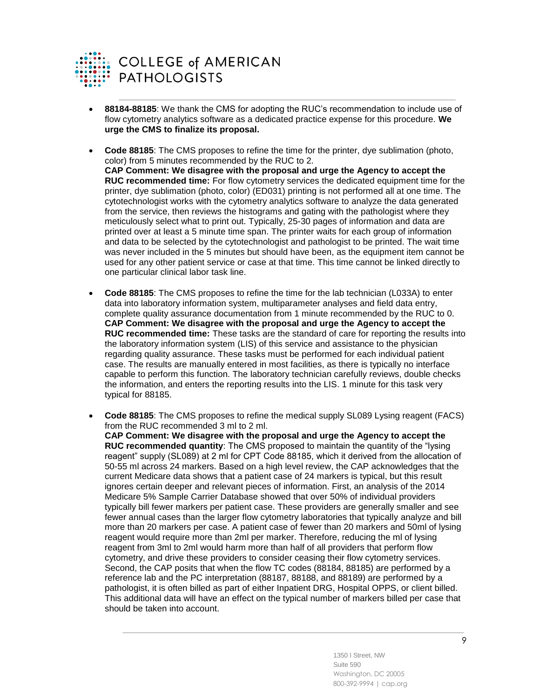

- **88184-88185**: We thank the CMS for adopting the RUC's recommendation to include use of flow cytometry analytics software as a dedicated practice expense for this procedure. **We urge the CMS to finalize its proposal.**
- **Code 88185**: The CMS proposes to refine the time for the printer, dye sublimation (photo, color) from 5 minutes recommended by the RUC to 2. **CAP Comment: We disagree with the proposal and urge the Agency to accept the RUC recommended time:** For flow cytometry services the dedicated equipment time for the printer, dye sublimation (photo, color) (ED031) printing is not performed all at one time. The cytotechnologist works with the cytometry analytics software to analyze the data generated from the service, then reviews the histograms and gating with the pathologist where they meticulously select what to print out. Typically, 25-30 pages of information and data are printed over at least a 5 minute time span. The printer waits for each group of information and data to be selected by the cytotechnologist and pathologist to be printed. The wait time was never included in the 5 minutes but should have been, as the equipment item cannot be used for any other patient service or case at that time. This time cannot be linked directly to one particular clinical labor task line.
- **Code 88185**: The CMS proposes to refine the time for the lab technician (L033A) to enter data into laboratory information system, multiparameter analyses and field data entry, complete quality assurance documentation from 1 minute recommended by the RUC to 0. **CAP Comment: We disagree with the proposal and urge the Agency to accept the RUC recommended time:** These tasks are the standard of care for reporting the results into the laboratory information system (LIS) of this service and assistance to the physician regarding quality assurance. These tasks must be performed for each individual patient case. The results are manually entered in most facilities, as there is typically no interface capable to perform this function. The laboratory technician carefully reviews, double checks the information, and enters the reporting results into the LIS. 1 minute for this task very typical for 88185.
- **Code 88185**: The CMS proposes to refine the medical supply SL089 Lysing reagent (FACS) from the RUC recommended 3 ml to 2 ml.

**CAP Comment: We disagree with the proposal and urge the Agency to accept the RUC recommended quantity**: The CMS proposed to maintain the quantity of the "lysing reagent" supply (SL089) at 2 ml for CPT Code 88185, which it derived from the allocation of 50-55 ml across 24 markers. Based on a high level review, the CAP acknowledges that the current Medicare data shows that a patient case of 24 markers is typical, but this result ignores certain deeper and relevant pieces of information. First, an analysis of the 2014 Medicare 5% Sample Carrier Database showed that over 50% of individual providers typically bill fewer markers per patient case. These providers are generally smaller and see fewer annual cases than the larger flow cytometry laboratories that typically analyze and bill more than 20 markers per case. A patient case of fewer than 20 markers and 50ml of lysing reagent would require more than 2ml per marker. Therefore, reducing the ml of lysing reagent from 3ml to 2ml would harm more than half of all providers that perform flow cytometry, and drive these providers to consider ceasing their flow cytometry services. Second, the CAP posits that when the flow TC codes (88184, 88185) are performed by a reference lab and the PC interpretation (88187, 88188, and 88189) are performed by a pathologist, it is often billed as part of either Inpatient DRG, Hospital OPPS, or client billed. This additional data will have an effect on the typical number of markers billed per case that should be taken into account.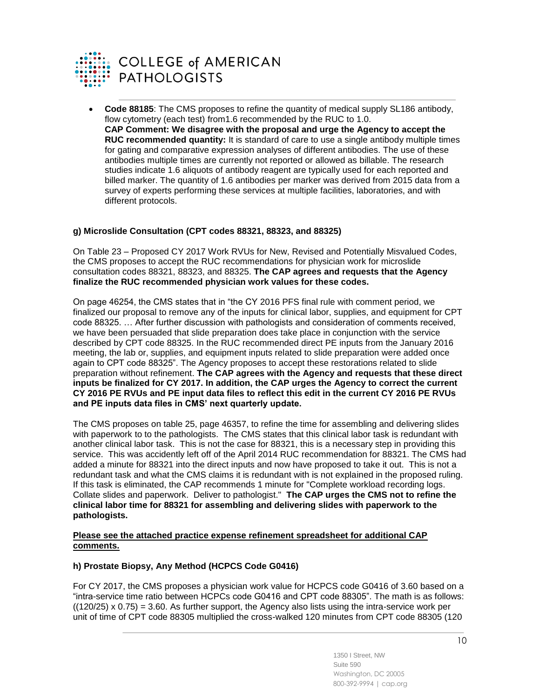

**COLLEGE of AMERICAN PATHOLOGISTS** 

 **Code 88185**: The CMS proposes to refine the quantity of medical supply SL186 antibody, flow cytometry (each test) from1.6 recommended by the RUC to 1.0. **CAP Comment: We disagree with the proposal and urge the Agency to accept the RUC recommended quantity:** It is standard of care to use a single antibody multiple times for gating and comparative expression analyses of different antibodies. The use of these antibodies multiple times are currently not reported or allowed as billable. The research studies indicate 1.6 aliquots of antibody reagent are typically used for each reported and billed marker. The quantity of 1.6 antibodies per marker was derived from 2015 data from a survey of experts performing these services at multiple facilities, laboratories, and with different protocols.

## **g) Microslide Consultation (CPT codes 88321, 88323, and 88325)**

On Table 23 – Proposed CY 2017 Work RVUs for New, Revised and Potentially Misvalued Codes, the CMS proposes to accept the RUC recommendations for physician work for microslide consultation codes 88321, 88323, and 88325. **The CAP agrees and requests that the Agency finalize the RUC recommended physician work values for these codes.**

On page 46254, the CMS states that in "the CY 2016 PFS final rule with comment period, we finalized our proposal to remove any of the inputs for clinical labor, supplies, and equipment for CPT code 88325. … After further discussion with pathologists and consideration of comments received, we have been persuaded that slide preparation does take place in conjunction with the service described by CPT code 88325. In the RUC recommended direct PE inputs from the January 2016 meeting, the lab or, supplies, and equipment inputs related to slide preparation were added once again to CPT code 88325". The Agency proposes to accept these restorations related to slide preparation without refinement. **The CAP agrees with the Agency and requests that these direct inputs be finalized for CY 2017. In addition, the CAP urges the Agency to correct the current CY 2016 PE RVUs and PE input data files to reflect this edit in the current CY 2016 PE RVUs and PE inputs data files in CMS' next quarterly update.**

The CMS proposes on table 25, page 46357, to refine the time for assembling and delivering slides with paperwork to to the pathologists. The CMS states that this clinical labor task is redundant with another clinical labor task. This is not the case for 88321, this is a necessary step in providing this service. This was accidently left off of the April 2014 RUC recommendation for 88321. The CMS had added a minute for 88321 into the direct inputs and now have proposed to take it out. This is not a redundant task and what the CMS claims it is redundant with is not explained in the proposed ruling. If this task is eliminated, the CAP recommends 1 minute for "Complete workload recording logs. Collate slides and paperwork. Deliver to pathologist." **The CAP urges the CMS not to refine the clinical labor time for 88321 for assembling and delivering slides with paperwork to the pathologists.**

### **Please see the attached practice expense refinement spreadsheet for additional CAP comments.**

# **h) Prostate Biopsy, Any Method (HCPCS Code G0416)**

For CY 2017, the CMS proposes a physician work value for HCPCS code G0416 of 3.60 based on a "intra-service time ratio between HCPCs code G0416 and CPT code 88305". The math is as follows:  $((120/25) \times 0.75) = 3.60$ . As further support, the Agency also lists using the intra-service work per unit of time of CPT code 88305 multiplied the cross-walked 120 minutes from CPT code 88305 (120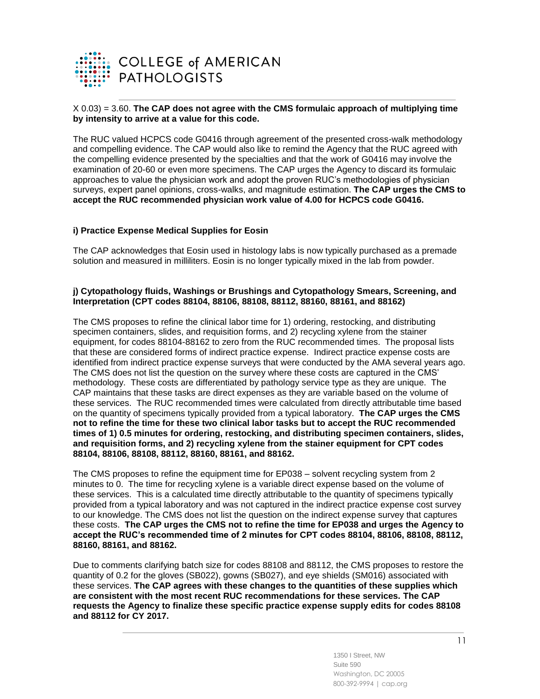

## X 0.03) = 3.60. **The CAP does not agree with the CMS formulaic approach of multiplying time by intensity to arrive at a value for this code.**

The RUC valued HCPCS code G0416 through agreement of the presented cross-walk methodology and compelling evidence. The CAP would also like to remind the Agency that the RUC agreed with the compelling evidence presented by the specialties and that the work of G0416 may involve the examination of 20-60 or even more specimens. The CAP urges the Agency to discard its formulaic approaches to value the physician work and adopt the proven RUC's methodologies of physician surveys, expert panel opinions, cross-walks, and magnitude estimation. **The CAP urges the CMS to accept the RUC recommended physician work value of 4.00 for HCPCS code G0416.**

### **i) Practice Expense Medical Supplies for Eosin**

The CAP acknowledges that Eosin used in histology labs is now typically purchased as a premade solution and measured in milliliters. Eosin is no longer typically mixed in the lab from powder.

### **j) Cytopathology fluids, Washings or Brushings and Cytopathology Smears, Screening, and Interpretation (CPT codes 88104, 88106, 88108, 88112, 88160, 88161, and 88162)**

The CMS proposes to refine the clinical labor time for 1) ordering, restocking, and distributing specimen containers, slides, and requisition forms, and 2) recycling xylene from the stainer equipment, for codes 88104-88162 to zero from the RUC recommended times. The proposal lists that these are considered forms of indirect practice expense. Indirect practice expense costs are identified from indirect practice expense surveys that were conducted by the AMA several years ago. The CMS does not list the question on the survey where these costs are captured in the CMS' methodology. These costs are differentiated by pathology service type as they are unique. The CAP maintains that these tasks are direct expenses as they are variable based on the volume of these services. The RUC recommended times were calculated from directly attributable time based on the quantity of specimens typically provided from a typical laboratory. **The CAP urges the CMS not to refine the time for these two clinical labor tasks but to accept the RUC recommended times of 1) 0.5 minutes for ordering, restocking, and distributing specimen containers, slides, and requisition forms, and 2) recycling xylene from the stainer equipment for CPT codes 88104, 88106, 88108, 88112, 88160, 88161, and 88162.**

The CMS proposes to refine the equipment time for EP038 – solvent recycling system from 2 minutes to 0. The time for recycling xylene is a variable direct expense based on the volume of these services. This is a calculated time directly attributable to the quantity of specimens typically provided from a typical laboratory and was not captured in the indirect practice expense cost survey to our knowledge. The CMS does not list the question on the indirect expense survey that captures these costs. **The CAP urges the CMS not to refine the time for EP038 and urges the Agency to accept the RUC's recommended time of 2 minutes for CPT codes 88104, 88106, 88108, 88112, 88160, 88161, and 88162.**

Due to comments clarifying batch size for codes 88108 and 88112, the CMS proposes to restore the quantity of 0.2 for the gloves (SB022), gowns (SB027), and eye shields (SM016) associated with these services. **The CAP agrees with these changes to the quantities of these supplies which are consistent with the most recent RUC recommendations for these services. The CAP requests the Agency to finalize these specific practice expense supply edits for codes 88108 and 88112 for CY 2017.**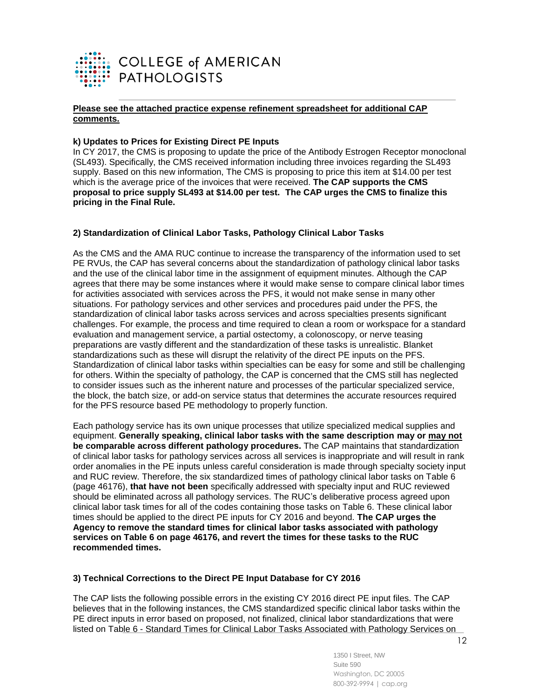

### **Please see the attached practice expense refinement spreadsheet for additional CAP comments.**

## **k) Updates to Prices for Existing Direct PE Inputs**

In CY 2017, the CMS is proposing to update the price of the Antibody Estrogen Receptor monoclonal (SL493). Specifically, the CMS received information including three invoices regarding the SL493 supply. Based on this new information, The CMS is proposing to price this item at \$14.00 per test which is the average price of the invoices that were received. **The CAP supports the CMS proposal to price supply SL493 at \$14.00 per test. The CAP urges the CMS to finalize this pricing in the Final Rule.**

## **2) Standardization of Clinical Labor Tasks, Pathology Clinical Labor Tasks**

As the CMS and the AMA RUC continue to increase the transparency of the information used to set PE RVUs, the CAP has several concerns about the standardization of pathology clinical labor tasks and the use of the clinical labor time in the assignment of equipment minutes. Although the CAP agrees that there may be some instances where it would make sense to compare clinical labor times for activities associated with services across the PFS, it would not make sense in many other situations. For pathology services and other services and procedures paid under the PFS, the standardization of clinical labor tasks across services and across specialties presents significant challenges. For example, the process and time required to clean a room or workspace for a standard evaluation and management service, a partial ostectomy, a colonoscopy, or nerve teasing preparations are vastly different and the standardization of these tasks is unrealistic. Blanket standardizations such as these will disrupt the relativity of the direct PE inputs on the PFS. Standardization of clinical labor tasks within specialties can be easy for some and still be challenging for others. Within the specialty of pathology, the CAP is concerned that the CMS still has neglected to consider issues such as the inherent nature and processes of the particular specialized service, the block, the batch size, or add-on service status that determines the accurate resources required for the PFS resource based PE methodology to properly function.

Each pathology service has its own unique processes that utilize specialized medical supplies and equipment. **Generally speaking, clinical labor tasks with the same description may or may not be comparable across different pathology procedures.** The CAP maintains that standardization of clinical labor tasks for pathology services across all services is inappropriate and will result in rank order anomalies in the PE inputs unless careful consideration is made through specialty society input and RUC review. Therefore, the six standardized times of pathology clinical labor tasks on Table 6 (page 46176), **that have not been** specifically addressed with specialty input and RUC reviewed should be eliminated across all pathology services. The RUC's deliberative process agreed upon clinical labor task times for all of the codes containing those tasks on Table 6. These clinical labor times should be applied to the direct PE inputs for CY 2016 and beyond. **The CAP urges the Agency to remove the standard times for clinical labor tasks associated with pathology services on Table 6 on page 46176, and revert the times for these tasks to the RUC recommended times.**

### **3) Technical Corrections to the Direct PE Input Database for CY 2016**

The CAP lists the following possible errors in the existing CY 2016 direct PE input files. The CAP believes that in the following instances, the CMS standardized specific clinical labor tasks within the PE direct inputs in error based on proposed, not finalized, clinical labor standardizations that were listed on Table 6 - Standard Times for Clinical Labor Tasks Associated with Pathology Services on